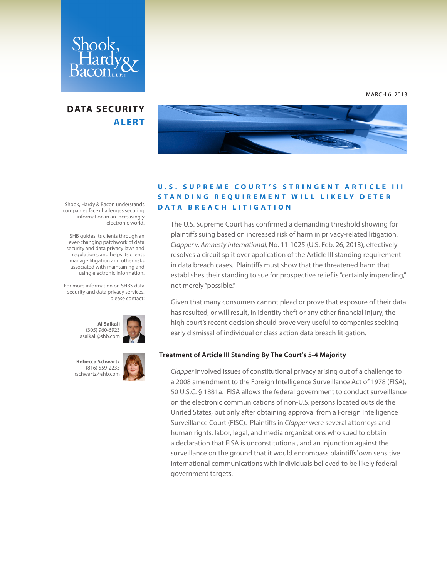

# **DATA SECURITY ALERT**



### **U . S . S U P R E M E C O U R T ' S S T R I N G E N T A R T I C L E I I I STANDING REQUIREMENT WILL LIKELY DETER DATA BREACH LITIGATION**

The U.S. Supreme Court has confirmed a demanding threshold showing for plaintiffs suing based on increased risk of harm in privacy-related litigation. *Clapper v. Amnesty International,* No. 11-1025 (U.S. Feb. 26, 2013), effectively resolves a circuit split over application of the Article III standing requirement in data breach cases. Plaintiffs must show that the threatened harm that establishes their standing to sue for prospective relief is "certainly impending," not merely "possible."

Given that many consumers cannot plead or prove that exposure of their data has resulted, or will result, in identity theft or any other financial injury, the high court's recent decision should prove very useful to companies seeking early dismissal of individual or class action data breach litigation.

### **Treatment of Article III Standing By The Court's 5-4 Majority**

*Clapper* involved issues of constitutional privacy arising out of a challenge to a 2008 amendment to the Foreign Intelligence Surveillance Act of 1978 (FISA), 50 U.S.C. § 1881a. FISA allows the federal government to conduct surveillance on the electronic communications of non-U.S. persons located outside the United States, but only after obtaining approval from a Foreign Intelligence Surveillance Court (FISC). Plaintiffs in *Clapper* were several attorneys and human rights, labor, legal, and media organizations who sued to obtain a declaration that FISA is unconstitutional, and an injunction against the surveillance on the ground that it would encompass plaintiffs' own sensitive international communications with individuals believed to be likely federal government targets.

Shook, Hardy & Bacon understands companies face challenges securing information in an increasingly electronic world.

 SHB guides its clients through an ever-changing patchwork of data security and data privacy laws and regulations, and helps its clients manage litigation and other risks associated with maintaining and using electronic information.

For more information on SHB's data security and data privacy services, please contact:



**Rebecca Schwartz** (816) 559-2235



MARCH 6, 2013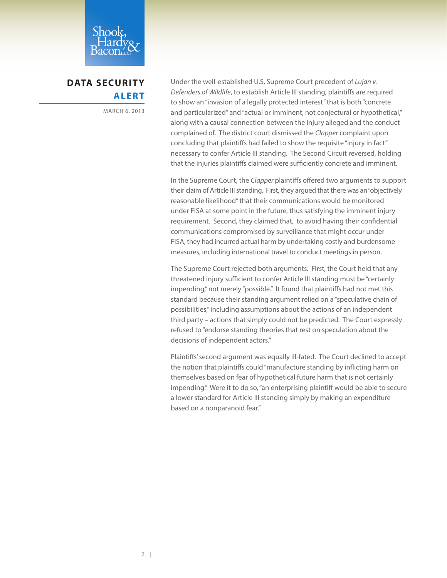

**DATA SECURITY ALERT**

MARCH 6, 2013

Under the well-established U.S. Supreme Court precedent of *Lujan v. Defenders of Wildlife*, to establish Article III standing, plaintiffs are required to show an "invasion of a legally protected interest" that is both "concrete and particularized" and "actual or imminent, not conjectural or hypothetical," along with a causal connection between the injury alleged and the conduct complained of. The district court dismissed the *Clapper* complaint upon concluding that plaintiffs had failed to show the requisite "injury in fact" necessary to confer Article III standing. The Second Circuit reversed, holding that the injuries plaintiffs claimed were sufficiently concrete and imminent.

In the Supreme Court, the *Clapper* plaintiffs offered two arguments to support their claim of Article III standing. First, they argued that there was an "objectively reasonable likelihood" that their communications would be monitored under FISA at some point in the future, thus satisfying the imminent injury requirement. Second, they claimed that, to avoid having their confidential communications compromised by surveillance that might occur under FISA, they had incurred actual harm by undertaking costly and burdensome measures, including international travel to conduct meetings in person.

The Supreme Court rejected both arguments. First, the Court held that any threatened injury sufficient to confer Article III standing must be "certainly impending," not merely "possible." It found that plaintiffs had not met this standard because their standing argument relied on a "speculative chain of possibilities," including assumptions about the actions of an independent third party – actions that simply could not be predicted. The Court expressly refused to "endorse standing theories that rest on speculation about the decisions of independent actors."

Plaintiffs' second argument was equally ill-fated. The Court declined to accept the notion that plaintiffs could "manufacture standing by inflicting harm on themselves based on fear of hypothetical future harm that is not certainly impending." Were it to do so, "an enterprising plaintiff would be able to secure a lower standard for Article III standing simply by making an expenditure based on a nonparanoid fear."